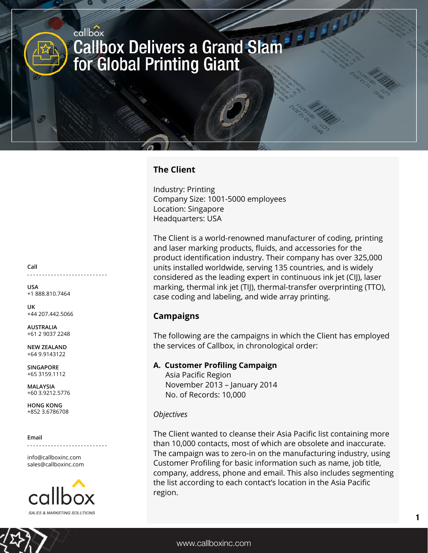# **The Client**

Industry: Printing Company Size: 1001-5000 employees Location: Singapore Headquarters: USA

The Client is a world-renowned manufacturer of coding, printing and laser marking products, fluids, and accessories for the product identification industry. Their company has over 325,000 units installed worldwide, serving 135 countries, and is widely considered as the leading expert in continuous ink jet (CIJ), laser marking, thermal ink jet (TIJ), thermal-transfer overprinting (TTO), case coding and labeling, and wide array printing.

## **Campaigns**

The following are the campaigns in which the Client has employed the services of Callbox, in chronological order:

## **A. Customer Profiling Campaign**

 Asia Pacific Region November 2013 – January 2014 No. of Records: 10,000

### *Objectives*

The Client wanted to cleanse their Asia Pacific list containing more than 10,000 contacts, most of which are obsolete and inaccurate. The campaign was to zero-in on the manufacturing industry, using Customer Profiling for basic information such as name, job title, company, address, phone and email. This also includes segmenting the list according to each contact's location in the Asia Pacific region.

**Call**

**. . . . . . . . . . . . . . . . . . . . . . . . . . .**

**USA** +1 888.810.7464

**UK** +44 207.442.5066

**AUSTRALIA** +61 2 9037 2248

**NEW ZEALAND** +64 9.9143122

**SINGAPORE** +65 3159.1112

**MALAYSIA** +60 3.9212.5776

**HONG KONG** +852 3.6786708

#### **Email**

**. . . . . . . . . . . . . . . . . . . . . . . . . . .**

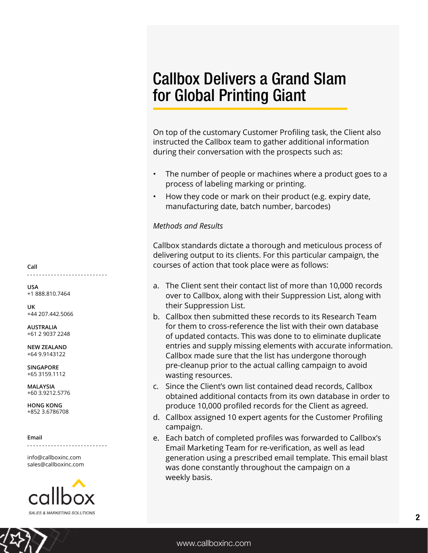On top of the customary Customer Profiling task, the Client also instructed the Callbox team to gather additional information during their conversation with the prospects such as:

- The number of people or machines where a product goes to a process of labeling marking or printing.
- How they code or mark on their product (e.g. expiry date, manufacturing date, batch number, barcodes)

## *Methods and Results*

Callbox standards dictate a thorough and meticulous process of delivering output to its clients. For this particular campaign, the courses of action that took place were as follows:

- a. The Client sent their contact list of more than 10,000 records over to Callbox, along with their Suppression List, along with their Suppression List.
- b. Callbox then submitted these records to its Research Team for them to cross-reference the list with their own database of updated contacts. This was done to to eliminate duplicate entries and supply missing elements with accurate information. Callbox made sure that the list has undergone thorough pre-cleanup prior to the actual calling campaign to avoid wasting resources.
- c. Since the Client's own list contained dead records, Callbox obtained additional contacts from its own database in order to produce 10,000 profiled records for the Client as agreed.
- d. Callbox assigned 10 expert agents for the Customer Profiling campaign.
- e. Each batch of completed profiles was forwarded to Callbox's Email Marketing Team for re-verification, as well as lead generation using a prescribed email template. This email blast was done constantly throughout the campaign on a weekly basis.

**Call . . . . . . . . . . . . . . . . . . . . . . . . . . .**

**USA** +1 888.810.7464

**UK** +44 207.442.5066

**AUSTRALIA** +61 2 9037 2248

**NEW ZEALAND** +64 9.9143122

**SINGAPORE** +65 3159.1112

**MALAYSIA** +60 3.9212.5776

**HONG KONG** +852 3.6786708

#### **Email**

info@callboxinc.com sales@callboxinc.com

**. . . . . . . . . . . . . . . . . . . . . . . . . . .**

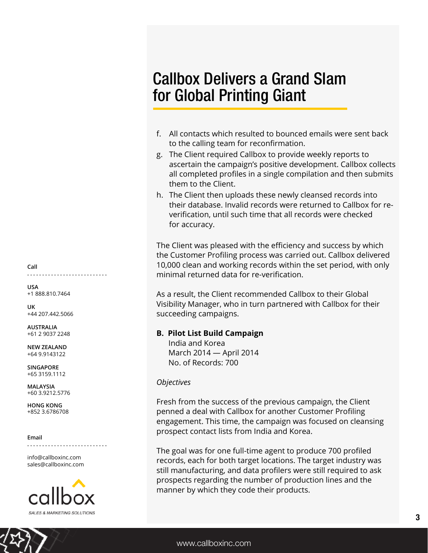- f. All contacts which resulted to bounced emails were sent back to the calling team for reconfirmation.
- g. The Client required Callbox to provide weekly reports to ascertain the campaign's positive development. Callbox collects all completed profiles in a single compilation and then submits them to the Client.
- h. The Client then uploads these newly cleansed records into their database. Invalid records were returned to Callbox for reverification, until such time that all records were checked for accuracy.

The Client was pleased with the efficiency and success by which the Customer Profiling process was carried out. Callbox delivered 10,000 clean and working records within the set period, with only minimal returned data for re-verification.

As a result, the Client recommended Callbox to their Global Visibility Manager, who in turn partnered with Callbox for their succeeding campaigns.

### **B. Pilot List Build Campaign**

 India and Korea March 2014 — April 2014 No. of Records: 700

### *Objectives*

Fresh from the success of the previous campaign, the Client penned a deal with Callbox for another Customer Profiling engagement. This time, the campaign was focused on cleansing prospect contact lists from India and Korea.

The goal was for one full-time agent to produce 700 profiled records, each for both target locations. The target industry was still manufacturing, and data profilers were still required to ask prospects regarding the number of production lines and the manner by which they code their products.

**Call . . . . . . . . . . . . . . . . . . . . . . . . . . .**

**USA** +1 888.810.7464

**UK** +44 207.442.5066

**AUSTRALIA** +61 2 9037 2248

**NEW ZEALAND** +64 9.9143122

**SINGAPORE** +65 3159.1112

**MALAYSIA** +60 3.9212.5776

**HONG KONG** +852 3.6786708

#### **Email**

**. . . . . . . . . . . . . . . . . . . . . . . . . . .**

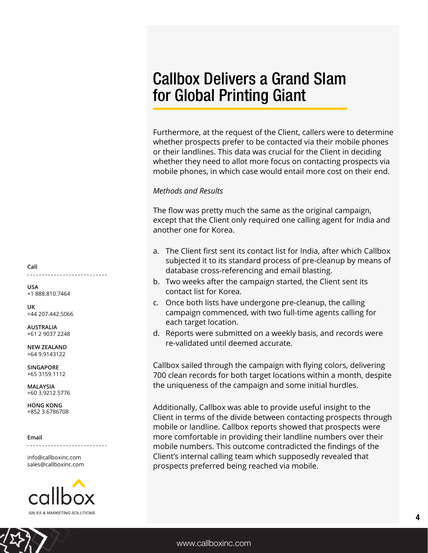Furthermore, at the request of the Client, callers were to determine whether prospects prefer to be contacted via their mobile phones or their landlines. This data was crucial for the Client in deciding whether they need to allot more focus on contacting prospects via mobile phones, in which case would entail more cost on their end.

### *Methods and Results*

The flow was pretty much the same as the original campaign, except that the Client only required one calling agent for India and another one for Korea.

- a. The Client first sent its contact list for India, after which Callbox subjected it to its standard process of pre-cleanup by means of database cross-referencing and email blasting.
- b. Two weeks after the campaign started, the Client sent its contact list for Korea.
- c. Once both lists have undergone pre-cleanup, the calling campaign commenced, with two full-time agents calling for each target location.
- d. Reports were submitted on a weekly basis, and records were re-validated until deemed accurate.

Callbox sailed through the campaign with flying colors, delivering 700 clean records for both target locations within a month, despite the uniqueness of the campaign and some initial hurdles.

Additionally, Callbox was able to provide useful insight to the Client in terms of the divide between contacting prospects through mobile or landline. Callbox reports showed that prospects were more comfortable in providing their landline numbers over their mobile numbers. This outcome contradicted the findings of the Client's internal calling team which supposedly revealed that prospects preferred being reached via mobile.

**Call . . . . . . . . . . . . . . . . . . . . . . . . . . .**

**USA** +1 888.810.7464

**UK** +44 207.442.5066

**AUSTRALIA** +61 2 9037 2248

**NEW ZEALAND** +64 9.9143122

**SINGAPORE** +65 3159.1112

**MALAYSIA** +60 3.9212.5776

**HONG KONG** +852 3.6786708

**Email**

**. . . . . . . . . . . . . . . . . . . . . . . . . . .**

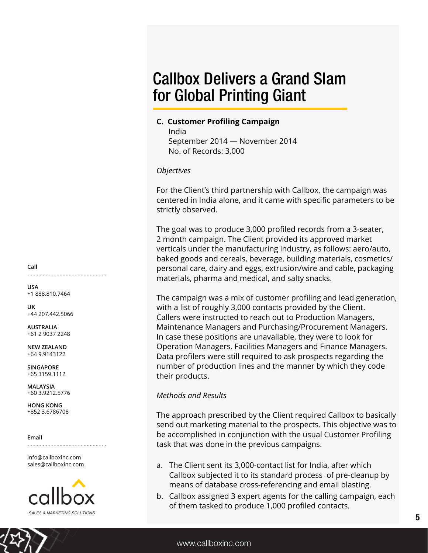## **C. Customer Profiling Campaign**

 India September 2014 — November 2014 No. of Records: 3,000

## *Objectives*

For the Client's third partnership with Callbox, the campaign was centered in India alone, and it came with specific parameters to be strictly observed.

The goal was to produce 3,000 profiled records from a 3-seater, 2 month campaign. The Client provided its approved market verticals under the manufacturing industry, as follows: aero/auto, baked goods and cereals, beverage, building materials, cosmetics/ personal care, dairy and eggs, extrusion/wire and cable, packaging materials, pharma and medical, and salty snacks.

The campaign was a mix of customer profiling and lead generation, with a list of roughly 3,000 contacts provided by the Client. Callers were instructed to reach out to Production Managers, Maintenance Managers and Purchasing/Procurement Managers. In case these positions are unavailable, they were to look for Operation Managers, Facilities Managers and Finance Managers. Data profilers were still required to ask prospects regarding the number of production lines and the manner by which they code their products.

## *Methods and Results*

The approach prescribed by the Client required Callbox to basically send out marketing material to the prospects. This objective was to be accomplished in conjunction with the usual Customer Profiling task that was done in the previous campaigns.

- a. The Client sent its 3,000-contact list for India, after which Callbox subjected it to its standard process of pre-cleanup by means of database cross-referencing and email blasting.
- b. Callbox assigned 3 expert agents for the calling campaign, each of them tasked to produce 1,000 profiled contacts.

**Call . . . . . . . . . . . . . . . . . . . . . . . . . . .**

**USA** +1 888.810.7464

**UK** +44 207.442.5066

**AUSTRALIA** +61 2 9037 2248

**NEW ZEALAND** +64 9.9143122

**SINGAPORE** +65 3159.1112

**MALAYSIA** +60 3.9212.5776

**HONG KONG** +852 3.6786708

**Email**

info@callboxinc.com sales@callboxinc.com

**. . . . . . . . . . . . . . . . . . . . . . . . . . .**

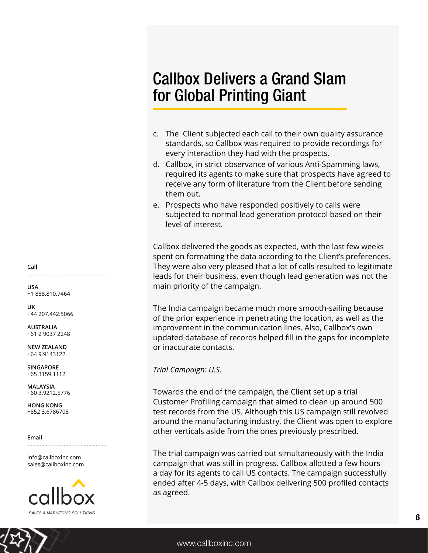- c. The Client subjected each call to their own quality assurance standards, so Callbox was required to provide recordings for every interaction they had with the prospects.
- d. Callbox, in strict observance of various Anti-Spamming laws, required its agents to make sure that prospects have agreed to receive any form of literature from the Client before sending them out.
- e. Prospects who have responded positively to calls were subjected to normal lead generation protocol based on their level of interest.

Callbox delivered the goods as expected, with the last few weeks spent on formatting the data according to the Client's preferences. They were also very pleased that a lot of calls resulted to legitimate leads for their business, even though lead generation was not the main priority of the campaign.

The India campaign became much more smooth-sailing because of the prior experience in penetrating the location, as well as the improvement in the communication lines. Also, Callbox's own updated database of records helped fill in the gaps for incomplete or inaccurate contacts.

*Trial Campaign: U.S.*

Towards the end of the campaign, the Client set up a trial Customer Profiling campaign that aimed to clean up around 500 test records from the US. Although this US campaign still revolved around the manufacturing industry, the Client was open to explore other verticals aside from the ones previously prescribed.

The trial campaign was carried out simultaneously with the India campaign that was still in progress. Callbox allotted a few hours a day for its agents to call US contacts. The campaign successfully ended after 4-5 days, with Callbox delivering 500 profiled contacts as agreed.

**Call . . . . . . . . . . . . . . . . . . . . . . . . . . .**

**USA** +1 888.810.7464

**UK** +44 207.442.5066

**AUSTRALIA** +61 2 9037 2248

**NEW ZEALAND** +64 9.9143122

**SINGAPORE** +65 3159.1112

**MALAYSIA** +60 3.9212.5776

**HONG KONG** +852 3.6786708

**Email**

**. . . . . . . . . . . . . . . . . . . . . . . . . . .**

info@callboxinc.com sales@callboxinc.com



6